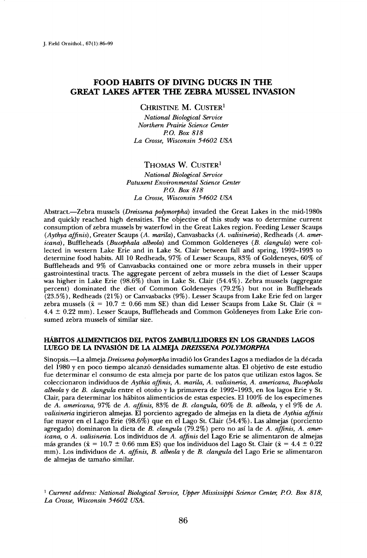# **FOOD HABITS OF DIVING DUCKS IN THE GREAT LAKES AFTER THE ZEBRA MUSSEL INVASION**

**CHRISTINE M. CUSTER 1** 

**National Biological Service Northern Prairie Science Center P.O. Box 818 La Crosse, Wisconsin 54602 USA** 

#### THOMAS W. CUSTER<sup>1</sup>

#### **National Biological Service Patuxent Environmental Science Center PO. Box 818 La Crosse, Wisconsin 54602 USA**

Abstract.-Zebra mussels (Dreissena polymorpha) invaded the Great Lakes in the mid-1980s **and quickly reached high densities. The objective of this study was to determine current consumption of zebra mussels by waterfowl in the Great Lakes region. Feeding Lesser Scaups (Aythya affinis), Greater Scaups (A. marila), Canvasbacks (A. valisineria), Redheads (A. americana), Buffleheads (Bucephala albeola) and Common Goldeneyes (B. clangula) were collected in western Lake Erie and in Lake St. Clair between fall and spring, 1992-1993 to determine food habits. All 10 Redheads, 97% of Lesser Scaups, 83% of Goldeneyes, 60% of Buffleheads and 9% of Canvasbacks contained one or more zebra mussels in their upper gastrointestinal tracts. The aggregate percent of zebra mussels in the diet of Lesser Scaups was higher in Lake Erie (98.6%) than in Lake St. Clair (54.4%). Zebra mussels (aggregate percent) dominated the diet of Common Goldeneyes (79.2%) but not in Buffleheads (23.5%), Redheads (21%) or Canvasbacks (9%). Lesser Scaups from Lake Erie fed on larger**  zebra mussels ( $\bar{x} = 10.7 \pm 0.66$  mm SE) than did Lesser Scaups from Lake St. Clair ( $\bar{x} =$ **4.4 +\_ 0.22 mm). Lesser Scaups, Buffleheads and Common Goldeneyes from Lake Erie consumed zebra mussels of similar size.** 

### **HÁBITOS ALIMENTICIOS DEL PATOS ZAMBULLIDORES EN LOS GRANDES LAGOS LUEGO DE LA INVASION DE LA ALMEJA DREISSENA POLYMORPHA**

Sinopsis.—La almeja *Dreissena polymorpha* invadió los Grandes Lagos a mediados de la década **del 1980 yen poco tiempo alcanz6 densidades sumamente altas. E1 objetivo de este estudio fue determinar el consumo de esta almeja por parte de los patos que utilizan estos lagos. Se coleccionaron individuos de Aythia affinis, A. marila, A. valisineria, A. americana, Bucephala albeola y de B. clangula entre el otofio y la primavera de 1992-1993, en los lagos Erie y St.**  Clair, para determinar los hábitos alimenticios de estas especies. El 100% de los especímenes **de A. amehcana, 97% de A. affinis, 83% de B. clangula, 60% de B. albeola, y el 9% de A. valisineria ingirieron almejas. E1 porciento agregado de almejas en la dieta de Aythia affinis**  fue mayor en el Lago Erie (98.6%) que en el Lago St. Clair (54.4%). Las almejas (porciento **agregado) dominaron la dieta de B. clangula (79.2%) pero no asl la de A. affinis, A. americana, o A. valisineria. Los individuos de A. affinis del Lago Erie se alimentaron de almejas**  más grandes ( $\bar{x} = 10.7 \pm 0.66$  mm ES) que los individuos del Lago St. Clair ( $\bar{x} = 4.4 \pm 0.22$ **mm). Los individuos de A. affinis, B. albeola y de B. clangula del Lago Erie se alimentaron de almejas de tamafio similar.** 

<sup>1</sup> Current address: National Biological Service, Upper Mississippi Science Center, P.O. Box 818, **La Crosse, Wisconsin 54602 USA.**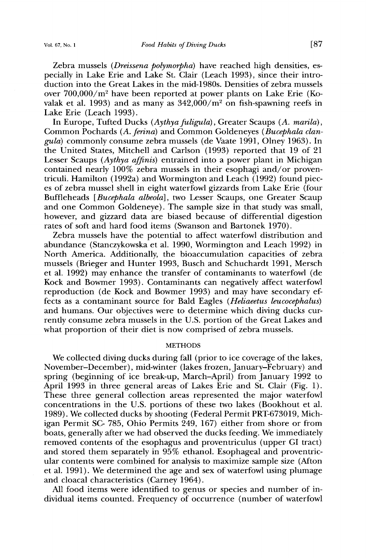**Zebra mussels (Dreissena polymorpha) have reached high densities, especially in Lake Erie and Lake St. Clair (Leach 1993), since their introduction into the Great Lakes in the mid-1980s. Densities of zebra mussels**  over 700,000/m<sup>2</sup> have been reported at power plants on Lake Erie (Kovalak et al. 1993) and as many as  $342,000/m^2$  on fish-spawning reefs in **Lake Erie (Leach 1993).** 

In Europe, Tufted Ducks (Aythya fuligula), Greater Scaups (A. marila), Common Pochards (A. ferina) and Common Goldeneyes (Bucephala clan**gula) commonly consume zebra mussels (de Vaate 1991, Olney 1963). In the United States, Mitchell and Carlson (1993) reported that 19 of 21 Lesser Scaups (Aythya affinis) entrained into a power plant in Michigan contained nearly 100% zebra mussels in their esophagi and/or proventriculi. Hamilton (1992a) and Wormington and Leach (1992) found pieces of zebra mussel shell in eight waterfowl gizzards from Lake Erie (four Buffleheads [Bucephala albeola], two Lesser Scaups, one Greater Scaup and one Common Goldeneye). The sample size in that study was small, however, and gizzard data are biased because of differential digestion rates of soft and hard food items (Swanson and Bartonek 1970).** 

**Zebra mussels have the potential to affect waterfowl distribution and abundance (Stanczykowska et al. 1990, Wormington and Leach 1992) in North America. Additionally, the bioaccumulation capacities of zebra mussels (Brieger and Hunter 1993, Busch and Schuchardt 1991, Mersch et al. 1992) may enhance the transfer of contaminants to waterfowl (de Kock and Bowmer 1993). Contaminants can negatively affect waterfowl reproduction (de Kock and Bowmer 1993) and may have secondary effects as a contaminant source for Bald Eagles (Heliaeetus leucocephalus) and humans. Our objectives were to determine which diving ducks currently consume zebra mussels in the U.S. portion of the Great Lakes and what proportion of their diet is now comprised of zebra mussels.** 

## **METHODS**

**We collected diving ducks during fall (prior to ice coverage of the lakes, November-December), mid-winter (lakes frozen, January-February) and spring (beginning of ice break-up, March-April) from January 1992 to April 1993 in three general areas of Lakes Erie and St. Clair (Fig. 1). These three general collection areas represented the major waterfowl concentrations in the U.S. portions of these two lakes (Bookhout et al. 1989). We collected ducks by shooting (Federal Permit PRT-673019, Michigan Permit SC- 785, Ohio Permits 249, 167) either from shore or from boats, generally after we had observed the ducks feeding. We immediately removed contents of the esophagus and proventriculus (upper GI tract) and stored them separately in 95% ethanol. Esophageal and proventricular contents were combined for analysis to maximize sample size (Afton et al. 1991). We determined the age and sex of waterfowl using plumage and cloacal characteristics (Carney 1964).** 

**All food items were identified to genus or species and number of individual items counted. Frequency of occurrence (number of waterfowl**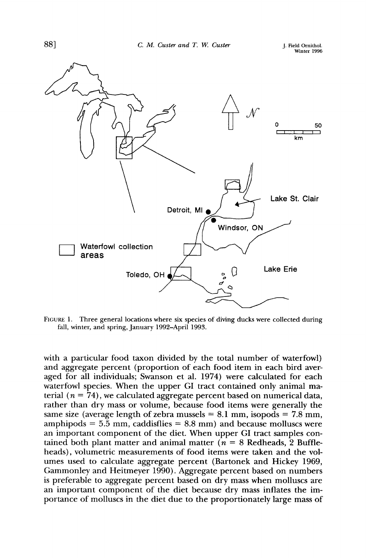

FIGURE 1. Three general locations where six species of diving ducks were collected during **fall, winter, and spring, January 1992-April 1993.** 

**with a particular food taxon divided by the total number of waterfowl) and aggregate percent (proportion of each food item in each bird averaged for all individuals; Swanson et al. 1974) were calculated for each waterfowl species. When the upper GI tract contained only animal ma**terial  $(n = 74)$ , we calculated aggregate percent based on numerical data, **rather than dry mass or volume, because food items were generally the**  same size (average length of zebra mussels  $= 8.1$  mm, isopods  $= 7.8$  mm, **amphipods = 5.5 mm, caddisflies = 8.8 mm) and because molluscs were an important component of the diet. When upper GI tract samples con**tained both plant matter and animal matter  $(n = 8$  Redheads, 2 Buffle**heads), volumetric measurements of food items were taken and the volumes used to calculate aggregate percent (Bartonek and Hickey 1969, Gammonley and Heitmeyer 1990). Aggregate percent based on numbers is preferable to aggregate percent based on dry mass when molluscs are an important component of the diet because dry mass inflates the importance of molluscs in the diet due to the proportionately large mass of**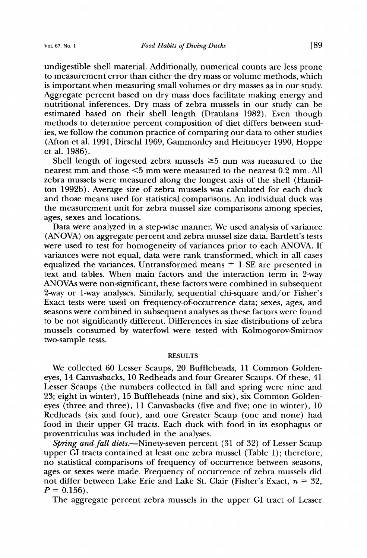**undigestible shell material. Additionally, numerical counts are less prone to measurement error than either the dry mass or volume methods, which is important when measuring small volumes or dry masses as in our study. Aggregate percent based on dry mass does facilitate making energy and nutritional inferences. Dry mass of zebra mussels in our study can be estimated based on their shell length (Draulans 1982). Even though methods to determine percent composition of diet differs between studies, we follow the common practice of comparing our data to other studies (Afton et al. 1991, Dirschl 1969, Gammonley and Heitmeyer 1990, Hoppe et al. 1986).** 

Shell length of ingested zebra mussels  $\geq 5$  mm was measured to the **nearest mm and those •5 mm were measured to the nearest 0.2 mm. All zebra mussels were measured along the longest axis of the shell (Hamilton 1992b). Average size of zebra mussels was calculated for each duck and those means used for statistical comparisons. An individual duck was the measurement unit for zebra mussel size comparisons among species, ages, sexes and locations.** 

**Data were analyzed in a step-wise manner. We used analysis of variance (ANOVA) on aggregate percent and zebra mussel size data. Bartlett's tests were used to test for homogeneity of variances prior to each ANOVA. If variances were not equal, data were rank transformed, which in all cases**  equalized the variances. Untransformed means  $\pm$  1 SE are presented in **text and tables. When main factors and the interaction term in 2-way ANOVAs were non-significant, these factors were combined in subsequent 2-way or 1-way analyses. Similarly, sequential chi-square and/or Fisher's Exact tests were used on frequency-of-occurrence data; sexes, ages, and seasons were combined in subsequent analyses as these factors were found to be not significantly different. Differences in size distributions of zebra mussels consumed by waterfowl were tested with Kolmogorov-Smirnov two-sample tests.** 

## **RESULTS**

**We collected 60 Lesser Scaups, 20 Buffleheads, 11 Common Goldeneyes, 14 Canvasbacks, 10 Redheads and four Greater Scaups. Of these, 41 Lesser Scaups (the numbers collected in fall and spring were nine and 23; eight in winter), 15 Buffleheads (nine and six), six Common Goldeneyes (three and three), 11 Canvasbacks (five and five; one in winter), 10 Redheads (six and four), and one Greater Scaup (one and none) had food in their upper GI tracts. Each duck with food in its esophagus or proventriculus was included in the analyses.** 

Spring and fall diets.—Ninety-seven percent (31 of 32) of Lesser Scaup **upper GI tracts contained at least one zebra mussel (Table 1); therefore, no statistical comparisons of frequency of occurrence between seasons, ages or sexes were made. Frequency of occurrence of zebra mussels did**  not differ between Lake Erie and Lake St. Clair (Fisher's Exact,  $n = 32$ ,  $P = 0.156$ .

**The aggregate percent zebra mussels in the upper GI tract of Lesser**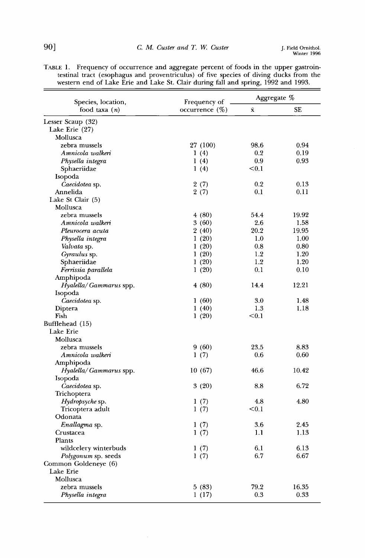| Species, location,     | Frequency of      | Aggregate % |       |
|------------------------|-------------------|-------------|-------|
| food taxa $(n)$        | occurrence $(\%)$ | Ÿ.          | SE    |
| Lesser Scaup (32)      |                   |             |       |
| Lake Erie (27)         |                   |             |       |
| Mollusca               |                   |             |       |
| zebra mussels          | 27 (100)          | 98.6        | 0.94  |
| Amnicola walkeri       | 1(4)              | 0.2         | 0.19  |
| Physella integra       | 1(4)              | 0.9         | 0.93  |
| Sphaeriidae            | 1(4)              | < 0.1       |       |
| Isopoda                |                   |             |       |
| Caecidotea sp.         | 2(7)              | 0.2         | 0.13  |
| Annelida               | 2(7)              | 0.1         | 0.11  |
| Lake St Clair (5)      |                   |             |       |
| Mollusca               |                   |             |       |
| zebra mussels          | 4(80)             | 54.4        | 19.92 |
| Amnicola walkeri       | 3(60)             | 2.6         | 1.58  |
| Pleurocera acuta       | 2(40)             | 20.2        | 19.95 |
| Physella integra       | 1(20)             | 1.0         | 1.00  |
| Valvata sp.            | 1(20)             | 0.8         | 0.80  |
| Gyraulus sp.           | 1(20)             | 1.2         | 1.20  |
| Sphaeriidae            | 1(20)             | 1.2         | 1.20  |
| Ferrissia parallela    | 1(20)             | 0.1         | 0.10  |
| Amphipoda              |                   |             |       |
| Hyalella/Gammarus spp. | 4(80)             | 14.4        | 12.21 |
| Isopoda                |                   |             |       |
| Caecidotea sp.         | 1(60)             | 3.0         | 1.48  |
| Diptera                | 1(40)             | 1.3         | 1.18  |
| Fish                   | 1(20)             | < 0.1       |       |
| Bufflehead (15)        |                   |             |       |
| Lake Erie              |                   |             |       |
| Mollusca               |                   |             |       |
| zebra mussels          | 9(60)             | 23.5        | 8.83  |
| Amnicola walkeri       | 1(7)              | 0.6         | 0.60  |
| Amphipoda              |                   |             |       |
| Hyalella/Gammarus spp. | 10(67)            | 46.6        | 10.42 |
| Isopoda                |                   |             |       |
| Caecidotea sp.         | 3(20)             | 8.8         | 6.72  |
| Trichoptera            |                   |             |       |
| Hydropsyche sp.        | 1(7)              | 4.8         | 4.80  |
| Tricoptera adult       | 1(7)              | < 0.1       |       |
| Odonata                |                   |             |       |
| Enallagma sp.          | 1(7)              | 3.6         | 2.45  |
| Crustacea              | 1(7)              | 1.1         | 1.13  |
| Plants                 |                   |             |       |
| wildcelery winterbuds  | 1(7)              | 6.1         | 6.13  |
| Polygonum sp. seeds    | 1(7)              | 6.7         | 6.67  |
| Common Goldeneye (6)   |                   |             |       |
| Lake Erie              |                   |             |       |
| Mollusca               |                   |             |       |
| zebra mussels          | 5(83)             | 79.2        | 16.35 |
| Physella integra       | 1 (17)            | 0.3         | 0.33  |

**TABLE 1.** Frequency of occurrence and aggregate percent of foods in the upper gastroin**testinal tract (esophagus and proventriculus) of five species of diving ducks from the western end of Lake Erie and Lake St. Clair during fall and spring, 1992 and 1993.**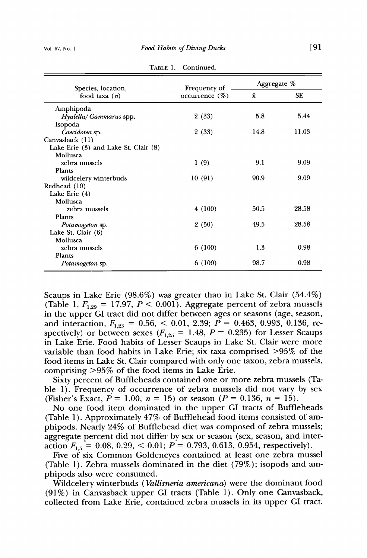| Species, location,                   | Frequency of      | Aggregate %        |           |
|--------------------------------------|-------------------|--------------------|-----------|
| food taxa $(n)$                      | occurrence $(\%)$ | $\bar{\mathbf{x}}$ | <b>SE</b> |
| Amphipoda                            |                   |                    |           |
| $H$ <i>yalella/Gammarus spp.</i>     | 2(33)             | 5.8                | 5.44      |
| Isopoda                              |                   |                    |           |
| Caecidotea sp.                       | 2(33)             | 14.8               | 11.03     |
| Canvasback (11)                      |                   |                    |           |
| Lake Erie (3) and Lake St. Clair (8) |                   |                    |           |
| Mollusca                             |                   |                    |           |
| zebra mussels                        | 1(9)              | 9.1                | 9.09      |
| Plants                               |                   |                    |           |
| wildcelery winterbuds                | 10(91)            | 90.9               | 9.09      |
| Redhead (10)                         |                   |                    |           |
| Lake Erie (4)                        |                   |                    |           |
| Mollusca                             |                   |                    |           |
| zebra mussels                        | 4(100)            | 50.5               | 28.58     |
| Plants                               |                   |                    |           |
| Potamogeton sp.                      | 2(50)             | 49.5               | 28.58     |
| Lake St. Clair (6)                   |                   |                    |           |
| Mollusca                             |                   |                    |           |
| zebra mussels                        | 6(100)            | 1.3                | 0.98      |
| Plants                               |                   |                    |           |
| <i>Potamogeton</i> sp.               | 6(100)            | 98.7               | 0.98      |

TABLE 1. Continued.

**Scaups in Lake Erie (98.6%) was greater than in Lake St. Clair (54.4%) (Table 1,**  $F_{1,29} = 17.97$ **,**  $P \le 0.001$ **). Aggregate percent of zebra mussels in the upper GI tract did not differ between ages or seasons (age, season,**  and interaction,  $F_{1,23} = 0.56, < 0.01, 2.39; P = 0.463, 0.993, 0.136,$  respectively) or between sexes  $(F_{1,25} = 1.48, P = 0.235)$  for Lesser Scaups **in Lake Erie. Food habits of Lesser Scaups in Lake St. Clair were more variable than food habits in Lake Erie; six taxa comprised >95% of the food items in Lake St. Clair compared with only one taxon, zebra mussels, comprising >95% of the food items in Lake Erie.** 

**Sixty percent of Buffleheads contained one or more zebra mussels (Table 1). Frequency of occurrence of zebra mussels did not vary by sex**  (Fisher's Exact,  $P = 1.00$ ,  $n = 15$ ) or season ( $P = 0.136$ ,  $n = 15$ ).

**No one food item dominated in the upper GI tracts of Buffleheads (Table 1). Approximately 47% of Bufflehead food items consisted of amphipods. Nearly 24% of Bufflehead diet was composed of zebra mussels; aggregate percent did not differ by sex or season (sex, season, and inter**action  $F_{1,5} = 0.08, 0.29, < 0.01; P = 0.793, 0.613, 0.954$ , respectively).

**Five of six Common Goldeneyes contained at least one zebra mussel (Table 1). Zebra mussels dominated in the diet (79%); isopods and amphipods also were consumed.** 

**Wildcelery winterbuds (Vallisneria americana) were the dominant food (91%) in Canvasback upper GI tracts (Table 1). Only one Canvasback, collected from Lake Erie, contained zebra mussels in its upper GI tract.**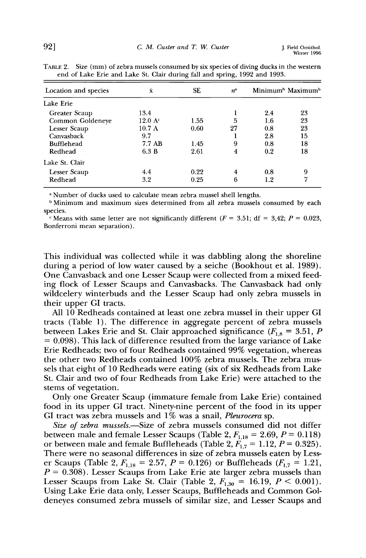| Location and species | $\bar{\mathbf{x}}$       | <b>SE</b> | $n^{\rm a}$ |     | Minimum <sup>b</sup> Maximum <sup>b</sup> |
|----------------------|--------------------------|-----------|-------------|-----|-------------------------------------------|
| Lake Erie            |                          |           |             |     |                                           |
| Greater Scaup        | 13.4                     |           |             | 2.4 | 23                                        |
| Common Goldeneye     | $12.0 \text{ A}^{\circ}$ | 1.55      | 5           | 1.6 | 23                                        |
| Lesser Scaup         | $10.7\;{\rm A}$          | 0.60      | 27          | 0.8 | 23                                        |
| Canvasback           | 9.7                      |           |             | 2.8 | 15                                        |
| <b>Bufflehead</b>    | 7.7 AB                   | 1.45      | 9           | 0.8 | 18                                        |
| Redhead              | 6.3 B                    | 2.61      | 4           | 0.2 | 18                                        |
| Lake St. Clair       |                          |           |             |     |                                           |
| Lesser Scaup         | 44                       | 0.22      | 4           | 0.8 | 9                                         |
| Redhead              | 3.2                      | 0.25      | 6           | 1.2 | 7                                         |

TABLE 2. Size (mm) of zebra mussels consumed by six species of diving ducks in the western **end of Lake Erie and Lake St. Clair during fall and spring, 1992 and 1993.** 

**a Number of ducks used to calculate mean zebra mussel shell lengths.** 

**b Minimum and maximum sizes determined from all zebra mussels consumed by each species.** 

<sup>c</sup> Means with same letter are not significantly different  $(F = 3.51; df = 3.42; P = 0.023$ , **Bonferroni mean separation).** 

**This individual was collected while it was dabbling along the shoreline during a period of low water caused by a seiche (Bookhout et al. 1989). One Canvasback and one Lesser Scaup were collected from a mixed feeding flock of Lesser Scaups and Canvasbacks. The Canvasback had only wildcelery winterbuds and the Lesser Scaup had only zebra mussels in their upper GI tracts.** 

**All 10 Redheads contained at least one zebra mussel in their upper GI tracts (Table 1). The difference in aggregate percent of zebra mussels**  between Lakes Erie and St. Clair approached significance  $(F_{1,8} = 3.51, P)$ **= 0.098). This lack of difference resulted from the large variance of Lake Erie Redheads; two of four Redheads contained 99% vegetation, whereas the other two Redheads contained 100% zebra mussels. The zebra mussels that eight of 10 Redheads were eating (six of six Redheads from Lake St. Clair and two of four Redheads from Lake Erie) were attached to the stems of vegetation.** 

**Only one Greater Scaup (immature female from Lake Erie) contained food in its upper GI tract. Ninety-nine percent of the food in its upper GI tract was zebra mussels and 1% was a snail, Pleurocera sp.** 

Size of zebra mussels.**---**Size of zebra mussels consumed did not differ between male and female Lesser Scaups (Table 2,  $F_{1,18} = 2.69$ ,  $P = 0.118$ ) or between male and female Buffleheads (Table 2,  $\ddot{F_{1,7}} = 1.12, P = 0.325$ ). **There were no seasonal differences in size of zebra mussels eaten by Less**er Scaups (Table 2,  $F_{1,18} = 2.57$ ,  $P = 0.126$ ) or Buffleheads ( $F_{1,7} = 1.21$ , **P = 0.308). Lesser Scaups from Lake Erie ate larger zebra mussels than Lesser Scaups from Lake St. Clair (Table 2,**  $F_{1,30} = 16.19, P < 0.001$ **). Using Lake Erie data only, Lesser Scaups, Buffleheads and Common Goldeneyes consumed zebra mussels of similar size, and Lesser Scaups and**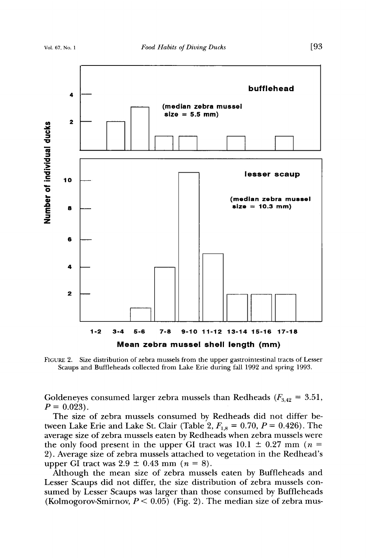

**FIGURE 2. Size distribution of zebra mussels from the upper gastrointestinal tracts of Lesser Scaups and Buffleheads collected from Lake Erie during fall 1992 and spring 1993.** 

Goldeneyes consumed larger zebra mussels than Redheads  $(F_{3,42} = 3.51,$  $P = 0.023$ .

**The size of zebra mussels consumed by Redheads did not differ be**tween Lake Erie and Lake St. Clair (Table 2,  $F_{1,8} = 0.70, P = 0.426$ ). The **average size of zebra mussels eaten by Redheads when zebra mussels were**  the only food present in the upper GI tract was  $10.1 \pm 0.27$  mm ( $n =$ **2). Average size of zebra mussels attached to vegetation in the Redhead's upper GI tract was 2.9**  $\pm$  **0.43 mm (n = 8).** 

**Although the mean size of zebra mussels eaten by Buffleheads and Lesser Scaups did not differ, the size distribution of zebra mussels consumed by Lesser Scaups was larger than those consumed by Buffleheads**  (Kolmogorov-Smirnov,  $P < 0.05$ ) (Fig. 2). The median size of zebra mus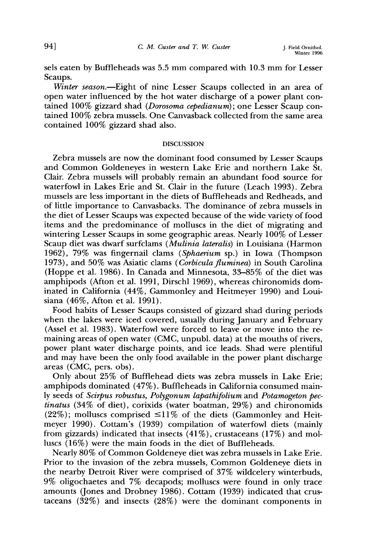**sels eaten by Buffleheads was 5.5 mm compared with 10.3 mm for Lesser Scaups.** 

Winter season.—Eight of nine Lesser Scaups collected in an area of **open water influenced by the hot water discharge of a power plant contained 100% gizzard shad (Dorosoma cepedianum); one Lesser Scaup contained 100% zebra mussels. One Canvasback collected from the same area contained 100% gizzard shad also.** 

## **DISCUSSION**

**Zebra mussels are now the dominant food consumed by Lesser Scaups and Common Goldeneyes in western Lake Erie and northern Lake St. Clair. Zebra mussels will probably remain an abundant food source for waterfowl in Lakes Erie and St. Clair in the future (Leach 1993). Zebra mussels are less important in the diets of Buffleheads and Redheads, and of little importance to Canvasbacks. The dominance of zebra mussels in the diet of Lesser Scaups was expected because of the wide variety of food items and the predominance of molluscs in the diet of migrating and wintering Lesser Scaups in some geographic areas. Nearly 100% of Lesser Scaup diet was dwarf surfclams (Mulinia lateralis) in Louisiana (Harmon 1962), 79% was fingernail clams (Sphaerium sp.) in Iowa (Thompson 1973), and 50% was Asiatic clams (Corbiculafluminea) in South Carolina (Hoppe et al. 1986). In Canada and Minnesota, 33-85% of the diet was amphipods (Afton et al. 1991, Dirschl 1969), whereas chironomids dominated in California (44%, Gammonley and Heitmeyer 1990) and Louisiana (46%, Afton et al. 1991).** 

**Food habits of Lesser Scaups consisted of gizzard shad during periods when the lakes were iced covered, usually during January and February (Assel et al. 1983). Waterfowl were forced to leave or move into the remaining areas of open water (CMC, unpubl. data) at the mouths of rivers, power plant water discharge points, and ice leads. Shad were plentiful and may have been the only food available in the power plant discharge areas (CMC, pers. obs).** 

**Only about 25% of Bufflehead diets was zebra mussels in Lake Erie; amphipods dominated (47%). Buffleheads in California consumed mainly seeds of Scirpus robustus, Polygonum lapathifolium and Potamogeton pectinatus (34% of diet), corixids (water boatman, 29%) and chironomids**   $(22\%)$ ; molluscs comprised  $\leq 11\%$  of the diets (Gammonley and Heit**meyer 1990). Cottam's (1939) compilation of waterfowl diets (mainly from gizzards) indicated that insects (41%), crustaceans (17%) and molluscs (16%) were the main foods in the diet of Buffleheads.** 

**Nearly 80% of Common Goldeneye diet was zebra mussels in Lake Erie. Prior to the invasion of the zebra mussels, Common Goldeneye diets in the nearby Detroit River were comprised of 37% wildcelery winterbuds, 9% oligochaetes and 7% decapods; molluscs were found in only trace amounts (Jones and Drobney 1986). Cottam (1939) indicated that crustaceans (32%) and insects (28%) were the dominant components in**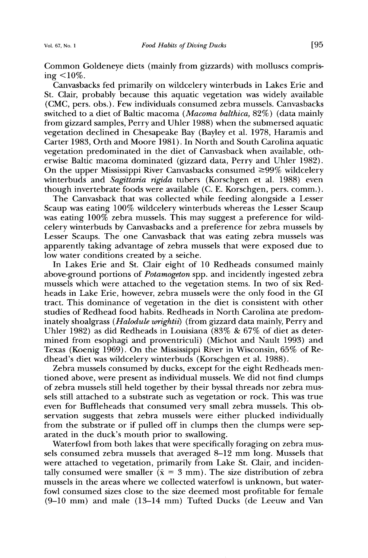**Common Goldeneye diets (mainly from gizzards) with molluscs comprising <10%.** 

**Canvasbacks fed primarily on wildcelery winterbuds in Lakes Erie and St. Clair, probably because this aquatic vegetation was widely available (CMC, pers. obs.). Few individuals consumed zebra mussels. Canvasbacks switched to a diet of Baltic macoma (Macoma balthica, 82%) (data mainly from gizzard samples, Perry and Uhler 1988) when the submersed aquatic vegetation declined in Chesapeake Bay (Bayley et al. 1978, Haramis and Carter 1983, Orth and Moore 1981). In North and South Carolina aquatic vegetation predominated in the diet of Canvasback when available, otherwise Baltic macoma dominated (gizzard data, Perry and Uhler 1982).**  On the upper Mississippi River Canvasbacks consumed  $\geq 99\%$  wildcelery **winterbuds and Sagittaria rigida tubers (Korschgen et al. 1988) even though invertebrate foods were available (C. E. Korschgen, pers. comm.).** 

**The Canvasback that was collected while feeding alongside a Lesser Scaup was eating 100% wildcelery winterbuds whereas the Lesser Scaup was eating 100% zebra mussels. This may suggest a preference for wildcelery winterbuds by Canvasbacks and a preference for zebra mussels by Lesser Scaups. The one Canvasback that was eating zebra mussels was apparently taking advantage of zebra mussels that were exposed due to low water conditions created by a seiche.** 

**In Lakes Erie and St. Clair eight of 10 Redheads consumed mainly above-ground portions of Potamogeton spp. and incidently ingested zebra mussels which were attached to the vegetation stems. In two of six Redheads in Lake Erie, however, zebra mussels were the only food in the GI tract. This dominance of vegetation in the diet is consistent with other studies of Redhead food habits. Redheads in North Carolina ate predominately shoalgrass (Halodule wrightis) (from gizzard data mainly, Perry and Uhler 1982) as did Redheads in Louisiana (83% & 67% of diet as determined from esophagi and proventriculi) (Michot and Nault 1993) and Texas (Koenig 1969). On the Mississippi River in Wisconsin, 65% of Redhead's diet was wildcelery winterbuds (Korschgen et al. 1988).** 

**Zebra mussels consumed by ducks, except for the eight Redheads mentioned above, were present as individual mussels. We did not find clumps of zebra mussels still held together by their byssal threads nor zebra mussels still attached to a substrate such as vegetation or rock. This was true even for Buffleheads that consumed very small zebra mussels. This observation suggests that zebra mussels were either plucked individually from the substrate or if pulled off in clumps then the clumps were separated in the duck's mouth prior to swallowing.** 

**Waterfowl from both lakes that were specifically foraging on zebra mussels consumed zebra mussels that averaged 8-12 mm long. Mussels that were attached to vegetation, primarily from Lake St. Clair, and inciden**tally consumed were smaller  $\overline{(x)} = 3$  mm). The size distribution of zebra **mussels in the areas where we collected waterfowl is unknown, but waterfowl consumed sizes close to the size deemed most profitable for female (9-10 mm) and male (13-14 mm) Tufted Ducks (de Leeuw and Van**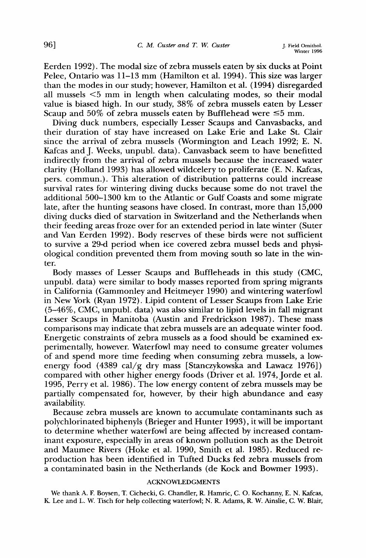**Eerden 1992). The modal size of zebra mussels eaten by six ducks at Point Pelee, Ontario was 11-13 mm (Hamilton et al. 1994). This size was larger than the modes in our study; however, Hamilton et al. (1994) disregarded all mussels <5 mm in length when calculating modes, so their modal value is biased high. In our study, 38% of zebra mussels eaten by Lesser**  Scaup and  $50\%$  of zebra mussels eaten by Bufflehead were  $\leq 5$  mm.

**Diving duck numbers, especially Lesser Scaups and Canvasbacks, and their duration of stay have increased on Lake Erie and Lake St. Clair since the arrival of zebra mussels (Wormington and Leach 1992; E. N. Kafcas and J. Weeks, unpubl. data). Canvasback seem to have benefitted indirectly from the arrival of zebra mussels because the increased water clarity (Holland 1993) has allowed wildcelery to proliferate (E. N. Kafcas, pers. commun.). This alteration of distribution patterns could increase survival rates for wintering diving ducks because some do not travel the additional 500-1300 km to the Atlantic or Gulf Coasts and some migrate late, after the hunting seasons have closed. In contrast, more than 15,000 diving ducks died of starvation in Switzerland and the Netherlands when their feeding areas froze over for an extended period in late winter (Suter and Van Eerden 1992). Body reserves of these birds were not sufficient to survive a 29-d period when ice covered zebra mussel beds and physiological condition prevented them from moving south so late in the winter.** 

**Body masses of Lesser Scaups and Buffleheads in this study (CMC, unpubl. data) were similar to body masses reported from spring migrants in California (Gammonley and Heitmeyer 1990) and wintering waterfowl in New York (Ryan 1972). Lipid content of Lesser Scaups from Lake Erie (5-46%, CMC, unpubl. data) was also similar to lipid levels in fall migrant Lesser Scaups in Manitoba (Austin and Fredrickson 1987). These mass comparisons may indicate that zebra mussels are an adequate winter food. Energetic constraints of zebra mussels as a food should be examined experimentally, however. Waterfowl may need to consume greater volumes of and spend more time feeding when consuming zebra mussels, a lowenergy food (4389 cal/g dry mass [Stanczykowska and Lawacz 1976]) compared with other higher energy foods (Driver et al. 1974, Jorde et al. 1995, Perry et al. 1986). The low energy content of zebra mussels may be partially compensated for, however, by their high abundance and easy availability.** 

**Because zebra mussels are known to accumulate contaminants such as polychlorinated biphenyls (Brieger and Hunter 1993), it will be important to determine whether waterfowl are being affected by increased contaminant exposure, especially in areas of known pollution such as the Detroit and Maumee Rivers (Hoke et al. 1990, Smith et al. 1985). Reduced reproduction has been identified in Tufted Ducks fed zebra mussels from a contaminated basin in the Netherlands (de Kock and Bowmer 1993).** 

### **ACKNOWLEDGMENTS**

**We thank A. E Boysen, T. Cichecki, G. Chandler, R. Hamric, C. O. Kochanny, E. N. Kafcas, K. Lee and L. W. Tisch for help collecting waterfowl; N. R. Adams, R. W. Ainslie, C. W. Blair,**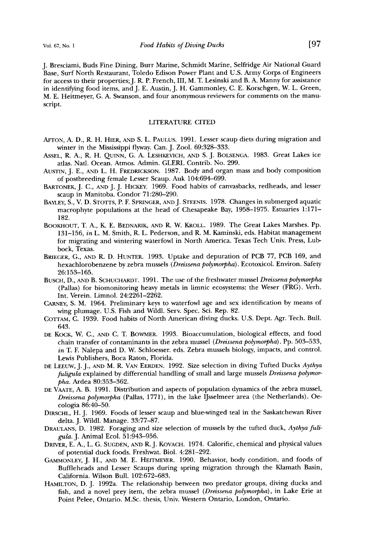**J. Bresciami, Buds Fine Dining, Burr Marine, Schmidt Marine, Selfridge Air National Guard Base, Surf North Restaurant, Toledo Edison Power Plant and U.S. Army Corps of Engineers for access to their properties;J. R. P. French, III, M. T. Lesinski and B. A. Manny for assistance in identifying food items, and J. E. Austin, J. H. Gammonley, C. E. Korschgen, W. L. Green, M. E. Heitmeyer, G. A. Swanson, and four anonymous reviewers for comments on the manuscript.** 

#### **LITERATURE CITED**

- AFTON, A. D., R. H. HIER, AND S. L. PAULUS. 1991. Lesser scaup diets during migration and **winter in the Mississippi flyway. Can. J. Zool. 69:328-333.**
- **ASSEL, R. A., R. H. QUINN, G. A. LESHKEVICH, AND S.J. BOLSENGA. 1983. Great Lakes ice adas. Natl. Ocean. Atmos. Admin. GLERL Contrib. No. 299.**
- **AUSTIN, J. E., AND L. H. FREDRICKSON. 1987. Body and organ mass and body composition of postbreeding female Lesser Scaup. Auk 104:694-699.**
- **BARTONEK, J. C., AND J. J. HICKEY. 1969. Food habits of canvasbacks, redheads, and lesser scaup in Manitoba. Condor 71:280-290.**
- BAYLEY, S., V. D. STOTTS, P. F. SPRINGER, AND J. STEENIS. 1978. Changes in submerged aquatic **macrophyte populations at the head of Chesapeake Bay, 1958-1975. Estuaries 1:171- 182.**
- BOOKHOUT, T. A., K. E. BEDNARIK, AND R. W. KROLL. 1989. The Great Lakes Marshes. Pp. **131-156, in L. M. Smith, R. L. Pederson, and R. M. Kaminski, eds. Habitat management for migrating and wintering waterfowl in North America. Texas Tech Univ. Press, Lubbock, Texas.**
- **BRIEGER, G., AND R. D. HUNTER. 1993. Uptake and depuration of PCB 77, PCB 169, and hexachlorobenzene by zebra mussels (Dreissena polymorpha). Ecotoxicol. Environ. Safety 26:153-165.**
- BUSCH, D., AND B. SCHUCHARDT. 1991. The use of the freshwater mussel *Dreissena polymorpha* **(Pallas) for biomonitoring heavy metals in limnic ecosystems: the Weser (FRG). Verh. Int. Verein. Limnol. 24:2261-2262.**
- CARNEY, S. M. 1964. Preliminary keys to waterfowl age and sex identification by means of **wing plumage. U.S. Fish and Wildl. Serv. Spec. Sci. Rep. 82.**
- COTTAM, C. 1939. Food habits of North American diving ducks. U.S. Dept. Agr. Tech. Bull. **643.**
- **DE KocK, W. C., AND C. T. BOWMER. 1993. Bioaccumulation, biological effects, and food chain transfer of contaminants in the zebra mussel (Dreissena polymorpha). Pp. 503-533, in T. F. Nalepa and D. W. Schloesser. eds. Zebra mussels biology, impacts, and control. Lewis Publishers, Boca Raton, Florida.**
- **DE LEEUW, J.j., AND M. R. VAN EERDEN. 1992. Size selection in diving Tufted Ducks Aythya fuligula explained by differential handling of small and large mussels Dreissena polymorpha. Ardea 80:353-362.**
- DE VAATE, A. B. 1991. Distribution and aspects of population dynamics of the zebra mussel, **Dreissena polymorpha (Pallas, 1771), in the lake IJsselmeer area (the Netherlands). Oecologia 86:40-50.**
- **DIRSCHL, H.J. 1969. Foods of lesser scaup and blue-winged teal in the Saskatchewan River delta. J. Wildl. Manage. 33:77-87.**
- DRAULANS, D. 1982. Foraging and size selection of mussels by the tufted duck, Aythya fuli**gu/a. J. Animal Ecol. 51:943-956.**
- DRIVER, E. A., L. G. SUGDEN, AND R. J. KOVACH. 1974. Calorific, chemical and physical values **of potential duck foods. Freshwat. Biol. 4:281-292.**
- GAMMONLEY, J. H., AND M. E. HEITMEYER. 1990. Behavior, body condition, and foods of **Buffleheads and Lesser Scaups during spring migration through the Klamath Basin, California. Wilson Bull. 102:672-683.**
- HAMILTON, D. J. 1992a. The relationship between two predator groups, diving ducks and **fish, and a novel prey item, the zebra mussel (Dreissena polymorpha), in Lake Erie at Point Pelee, Ontario. M.Sc. thesis, Univ. Western Ontario, London, Ontario.**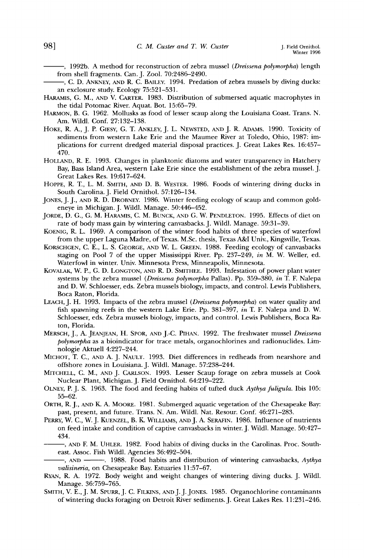**--, 1992b. A method for reconstruction of zebra mussel (Dreissena polymorpha) length from shell fragments. Can. J. Zool. 70:2486-2490.** 

- -, C. D. ANKNEY, AND R. C. BAILEY. 1994. Predation of zebra mussels by diving ducks: **an exclosure study. Ecology 75:521-531.**
- HARAMIS, G. M., AND V. CARTER. 1983. Distribution of submersed aquatic macrophytes in **the tidal Potomac River. Aquat. Bot. 15:65-79.**
- HARMON, B. G. 1962. Mollusks as food of lesser scaup along the Louisiana Coast. Trans. N. **Am. Wildl. Conf. 27:132-138.**
- **HOKE, R. A., J.P. GIESY, G. T. ANKLEY, J. L. NEWSTED, AND J. R. ADAMS. 1990. Toxicity of sediments from western Lake Erie and the Maumee River at Toledo, Ohio, 1987: implications for current dredged material disposal practices. J. Great Lakes Res. 16:457- 470.**
- **HOLLAND, R. E. 1993. Changes in planktonic diatoms and water transparency in Hatchery Bay, Bass Island Area, western Lake Erie since the establishment of the zebra mussel. J. Great Lakes Res. 19:617-624.**
- **HOPPE, R. T., L. M. SMITH, AND D. B. WESTER. 1986. Foods of wintering diving ducks in South Carolina. J. Field Ornithol. 57:126-134.**
- JONES, J. J., AND R. D. DROBNEY. 1986. Winter feeding ecology of scaup and common gold**eneye in Michigan. J. Wildl. Manage. 50:446-452.**
- JORDE, D. G., G. M. HARAMIS, C. M. BUNCK, AND G. W. PENDLETON. 1995. Effects of diet on **rate of body mass gain by wintering canvasbacks. J. Wildl. Manage. 59:31-39.**
- **KOENIG, R. L. 1969. A comparison of the winter food habits of three species of waterfowl from the upper Laguna Madre, of Texas. M.Sc. thesis, Texas A&I Univ., Kingsville, Texas.**
- **KORSCHGEN, C.E., L. S. GEORGE, AND W. L. GREEN. 1988. Feeding ecology of canvasbacks staging on Pool 7 of the upper Mississippi River. Pp. 237-249, in M. W. Weller, ed. Waterfowl in winter. Univ. Minnesota Press, Minneapolis, Minnesota.**
- **KOVALAK, W. P., G. D. LONGTON, AND R. D. SMITHEE. 1993. Infestafion of power plant water systems by the zebra mussel (Dreissena polyrnovpha Pallas). Pp. 359-380, in T. E Nalepa and D. W. Schloesser, eds. Zebra mussels biology, impacts, and control. Lewis Publishers, Boca Raton, Florida.**
- LEACH, J. H. 1993. Impacts of the zebra mussel (*Dreissena polymorpha*) on water quality and **fish spawning reefs in the western Lake Erie. Pp. 381-397, in T. F. Nalepa and D. W. Schloesser, eds. Zebra mussels biology, impacts, and control. Lewis Publishers, Boca Raton, Florida.**
- MERSCH, J., A. JEANJEAN, H. SPOR, AND J.-C. PIHAN. 1992. The freshwater mussel *Dreissena* **polymorpha as a bioindicator for trace metals, organochlorines and radionuclides. Limnologie Aktuell 4:227-244.**
- **MICHOT, T. C., AND A. J. NAULT. 1993. Diet differences in redheads from nearshore and offshore zones in Louisiana. J. Wildl. Manage. 57:238-244.**
- **MITCHELL, C. M., AND J. CARLSON. 1993. Lesser Scaup forage on zebra mussels at Cook Nuclear Plant, Michigan. J. Field Ornithol. 64:219-222.**
- OLNEY, P. J. S. 1963. The food and feeding habits of tufted duck Aythya fuligula. Ibis 105: **55-62.**
- ORTH, R. J., AND K. A. MOORE. 1981. Submerged aquatic vegetation of the Chesapeake Bay: **past, present, and future. Trans. N. Am. Wildl. Nat. Resour. Conf. 46:271-283.**
- PERRY, W. C., W. J. KUENZEL, B. K. WILLIAMS, AND J. A. SERAFIN. 1986. Influence of nutrients **on feed intake and condition of captive canvasbacks in winter. J. Wildl. Manage. 50:427- 434.**
- **, ANt) E M. UHLEP,. 1982. Food habits of diving ducks in the Carolinas. Proc. Southeast. Assoc. Fish Wildl. Agencies 36:492-504.**
- **, ANt) 1988. Food habits and distribution of wintering canvasbacks, Aythya valisineria, on Chesapeake Bay. Estuaries 11:57-67.**
- **RYAN, R. A. 1972. Body weight and weight changes of wintering diving ducks. J. Wildl. Manage. 36:759-765.**
- SMITH, V. E., J. M. SPURR, J. C. FILKINS, AND J. J. JONES. 1985. Organochlorine contaminants **of wintering ducks foraging on Detroit River sediments. J. Great Lakes Res. 11:231-246.**